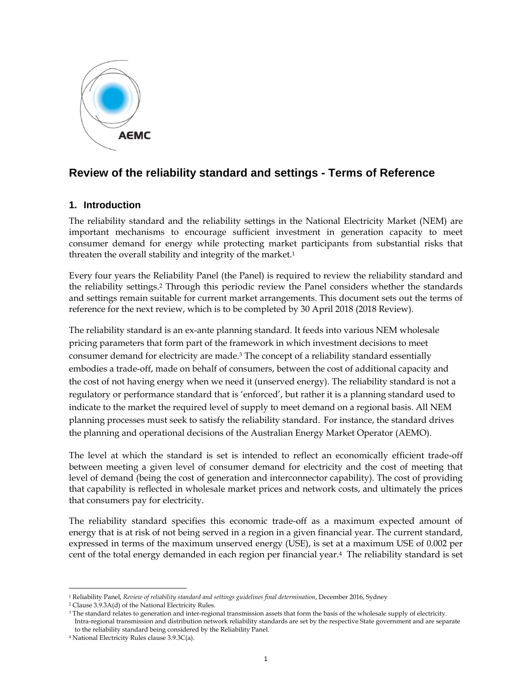

# **Review of the reliability standard and settings - Terms of Reference**

## **1. Introduction**

The reliability standard and the reliability settings in the National Electricity Market (NEM) are important mechanisms to encourage sufficient investment in generation capacity to meet consumer demand for energy while protecting market participants from substantial risks that threaten the overall stability and integrity of the market.<sup>1</sup>

Every four years the Reliability Panel (the Panel) is required to review the reliability standard and the reliability settings.2 Through this periodic review the Panel considers whether the standards and settings remain suitable for current market arrangements. This document sets out the terms of reference for the next review, which is to be completed by 30 April 2018 (2018 Review).

The reliability standard is an ex-ante planning standard. It feeds into various NEM wholesale pricing parameters that form part of the framework in which investment decisions to meet consumer demand for electricity are made.3 The concept of a reliability standard essentially embodies a trade-off, made on behalf of consumers, between the cost of additional capacity and the cost of not having energy when we need it (unserved energy). The reliability standard is not a regulatory or performance standard that is 'enforced', but rather it is a planning standard used to indicate to the market the required level of supply to meet demand on a regional basis. All NEM planning processes must seek to satisfy the reliability standard. For instance, the standard drives the planning and operational decisions of the Australian Energy Market Operator (AEMO).

The level at which the standard is set is intended to reflect an economically efficient trade-off between meeting a given level of consumer demand for electricity and the cost of meeting that level of demand (being the cost of generation and interconnector capability). The cost of providing that capability is reflected in wholesale market prices and network costs, and ultimately the prices that consumers pay for electricity.

The reliability standard specifies this economic trade-off as a maximum expected amount of energy that is at risk of not being served in a region in a given financial year. The current standard, expressed in terms of the maximum unserved energy (USE), is set at a maximum USE of 0.002 per cent of the total energy demanded in each region per financial year.4 The reliability standard is set

 $\ddot{ }$ 

<sup>&</sup>lt;sup>1</sup> Reliability Panel, *Review of reliability standard and settings guidelines final determination*, December 2016, Sydney <sup>2</sup> Clause 3.9.3A(d) of the National Electricity Rules.

<sup>&</sup>lt;sup>3</sup> The standard relates to generation and inter-regional transmission assets that form the basis of the wholesale supply of electricity. Intra-regional transmission and distribution network reliability standards are set by the respective State government and are separate to the reliability standard being considered by the Reliability Panel.

<sup>4</sup> National Electricity Rules clause 3.9.3C(a).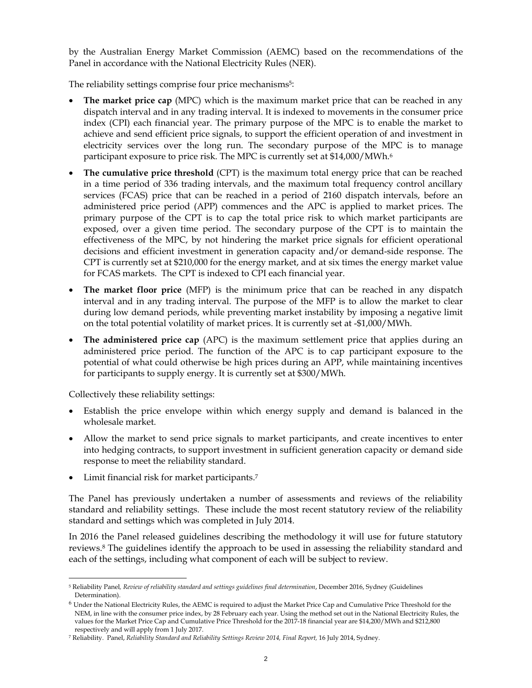by the Australian Energy Market Commission (AEMC) based on the recommendations of the Panel in accordance with the National Electricity Rules (NER).

The reliability settings comprise four price mechanisms<sup>5</sup>:

- **The market price cap** (MPC) which is the maximum market price that can be reached in any dispatch interval and in any trading interval. It is indexed to movements in the consumer price index (CPI) each financial year. The primary purpose of the MPC is to enable the market to achieve and send efficient price signals, to support the efficient operation of and investment in electricity services over the long run. The secondary purpose of the MPC is to manage participant exposure to price risk. The MPC is currently set at \$14,000/MWh.<sup>6</sup>
- **The cumulative price threshold** (CPT) is the maximum total energy price that can be reached in a time period of 336 trading intervals, and the maximum total frequency control ancillary services (FCAS) price that can be reached in a period of 2160 dispatch intervals, before an administered price period (APP) commences and the APC is applied to market prices. The primary purpose of the CPT is to cap the total price risk to which market participants are exposed, over a given time period. The secondary purpose of the CPT is to maintain the effectiveness of the MPC, by not hindering the market price signals for efficient operational decisions and efficient investment in generation capacity and/or demand-side response. The CPT is currently set at \$210,000 for the energy market, and at six times the energy market value for FCAS markets. The CPT is indexed to CPI each financial year.
- **The market floor price** (MFP) is the minimum price that can be reached in any dispatch interval and in any trading interval. The purpose of the MFP is to allow the market to clear during low demand periods, while preventing market instability by imposing a negative limit on the total potential volatility of market prices. It is currently set at -\$1,000/MWh.
- **The administered price cap** (APC) is the maximum settlement price that applies during an administered price period. The function of the APC is to cap participant exposure to the potential of what could otherwise be high prices during an APP, while maintaining incentives for participants to supply energy. It is currently set at \$300/MWh.

Collectively these reliability settings:

- Establish the price envelope within which energy supply and demand is balanced in the wholesale market.
- Allow the market to send price signals to market participants, and create incentives to enter into hedging contracts, to support investment in sufficient generation capacity or demand side response to meet the reliability standard.
- Limit financial risk for market participants.7

The Panel has previously undertaken a number of assessments and reviews of the reliability standard and reliability settings. These include the most recent statutory review of the reliability standard and settings which was completed in July 2014.

In 2016 the Panel released guidelines describing the methodology it will use for future statutory reviews.8 The guidelines identify the approach to be used in assessing the reliability standard and each of the settings, including what component of each will be subject to review.

 $\ddot{ }$ 5 Reliability Panel*, Review of reliability standard and settings guidelines final determination*, December 2016, Sydney (Guidelines Determination).

 $^6$  Under the National Electricity Rules, the AEMC is required to adjust the Market Price Cap and Cumulative Price Threshold for the  $\,$ NEM, in line with the consumer price index, by 28 February each year. Using the method set out in the National Electricity Rules, the values for the Market Price Cap and Cumulative Price Threshold for the 2017-18 financial year are \$14,200/MWh and \$212,800 respectively and will apply from 1 July 2017.

<sup>7</sup> Reliability. Panel, *Reliability Standard and Reliability Settings Review 2014, Final Report,* 16 July 2014, Sydney.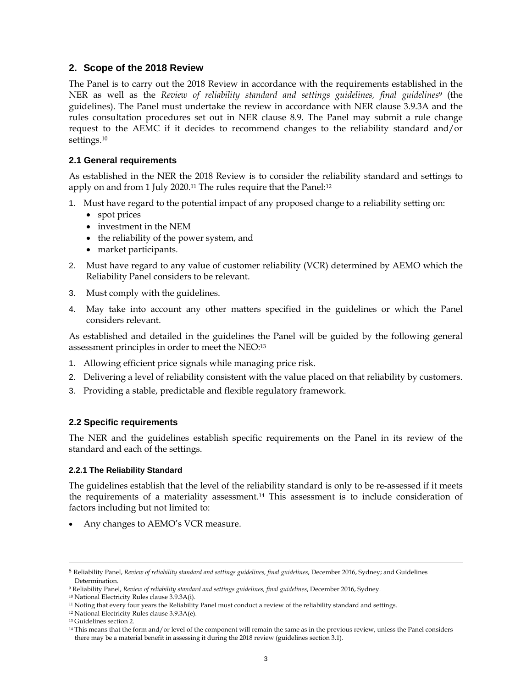## **2. Scope of the 2018 Review**

The Panel is to carry out the 2018 Review in accordance with the requirements established in the NER as well as the *Review of reliability standard and settings guidelines, final guidelines*9 (the guidelines). The Panel must undertake the review in accordance with NER clause 3.9.3A and the rules consultation procedures set out in NER clause 8.9. The Panel may submit a rule change request to the AEMC if it decides to recommend changes to the reliability standard and/or settings.10

## **2.1 General requirements**

As established in the NER the 2018 Review is to consider the reliability standard and settings to apply on and from 1 July 2020.<sup>11</sup> The rules require that the Panel:<sup>12</sup>

- 1. Must have regard to the potential impact of any proposed change to a reliability setting on:
	- spot prices
	- investment in the NEM
	- the reliability of the power system, and
	- market participants.
- 2. Must have regard to any value of customer reliability (VCR) determined by AEMO which the Reliability Panel considers to be relevant.
- 3. Must comply with the guidelines.
- 4. May take into account any other matters specified in the guidelines or which the Panel considers relevant.

As established and detailed in the guidelines the Panel will be guided by the following general assessment principles in order to meet the NEO:13

- 1. Allowing efficient price signals while managing price risk.
- 2. Delivering a level of reliability consistent with the value placed on that reliability by customers.
- 3. Providing a stable, predictable and flexible regulatory framework.

## **2.2 Specific requirements**

The NER and the guidelines establish specific requirements on the Panel in its review of the standard and each of the settings.

## **2.2.1 The Reliability Standard**

The guidelines establish that the level of the reliability standard is only to be re-assessed if it meets the requirements of a materiality assessment.14 This assessment is to include consideration of factors including but not limited to:

• Any changes to AEMO's VCR measure.

 <sup>8</sup> Reliability Panel, *Review of reliability standard and settings guidelines, final guidelines*, December 2016, Sydney; and Guidelines Determination.

<sup>9</sup> Reliability Panel, *Review of reliability standard and settings guidelines, final guidelines*, December 2016, Sydney.

<sup>10</sup> National Electricity Rules clause 3.9.3A(i).

<sup>11</sup> Noting that every four years the Reliability Panel must conduct a review of the reliability standard and settings.

<sup>12</sup> National Electricity Rules clause 3.9.3A(e).

<sup>13</sup> Guidelines section 2.

<sup>&</sup>lt;sup>14</sup> This means that the form and/or level of the component will remain the same as in the previous review, unless the Panel considers there may be a material benefit in assessing it during the 2018 review (guidelines section 3.1).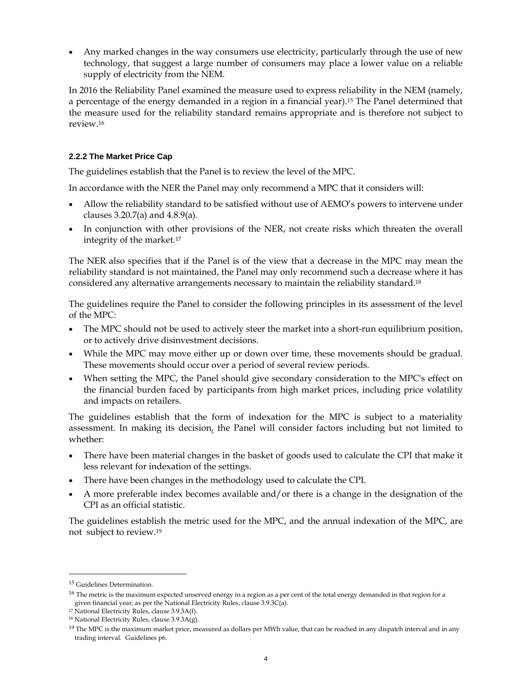Any marked changes in the way consumers use electricity, particularly through the use of new technology, that suggest a large number of consumers may place a lower value on a reliable supply of electricity from the NEM.

In 2016 the Reliability Panel examined the measure used to express reliability in the NEM (namely, a percentage of the energy demanded in a region in a financial year).15 The Panel determined that the measure used for the reliability standard remains appropriate and is therefore not subject to review.16

## **2.2.2 The Market Price Cap**

The guidelines establish that the Panel is to review the level of the MPC.

In accordance with the NER the Panel may only recommend a MPC that it considers will:

- Allow the reliability standard to be satisfied without use of AEMO's powers to intervene under clauses  $3.20.7(a)$  and  $4.8.9(a)$ .
- In conjunction with other provisions of the NER, not create risks which threaten the overall integrity of the market.17

The NER also specifies that if the Panel is of the view that a decrease in the MPC may mean the reliability standard is not maintained, the Panel may only recommend such a decrease where it has considered any alternative arrangements necessary to maintain the reliability standard.18

The guidelines require the Panel to consider the following principles in its assessment of the level of the MPC:

- The MPC should not be used to actively steer the market into a short-run equilibrium position, or to actively drive disinvestment decisions.
- While the MPC may move either up or down over time, these movements should be gradual. These movements should occur over a period of several review periods.
- When setting the MPC, the Panel should give secondary consideration to the MPC's effect on the financial burden faced by participants from high market prices, including price volatility and impacts on retailers.

The guidelines establish that the form of indexation for the MPC is subject to a materiality assessment. In making its decision, the Panel will consider factors including but not limited to whether:

- There have been material changes in the basket of goods used to calculate the CPI that make it less relevant for indexation of the settings.
- There have been changes in the methodology used to calculate the CPI.
- A more preferable index becomes available and/or there is a change in the designation of the CPI as an official statistic.

The guidelines establish the metric used for the MPC, and the annual indexation of the MPC, are not subject to review.19

-

<sup>15</sup> Guidelines Determination.

 $16$  The metric is the maximum expected unserved energy in a region as a per cent of the total energy demanded in that region for a given financial year, as per the National Electricity Rules, clause 3.9.3C(a).

 $17$  National Electricity Rules, clause 3.9.3A(f).

 $18$  National Electricity Rules, clause  $3.9.3A(g)$ .

 $19$  The MPC is the maximum market price, measured as dollars per MWh value, that can be reached in any dispatch interval and in any trading interval. Guidelines p6.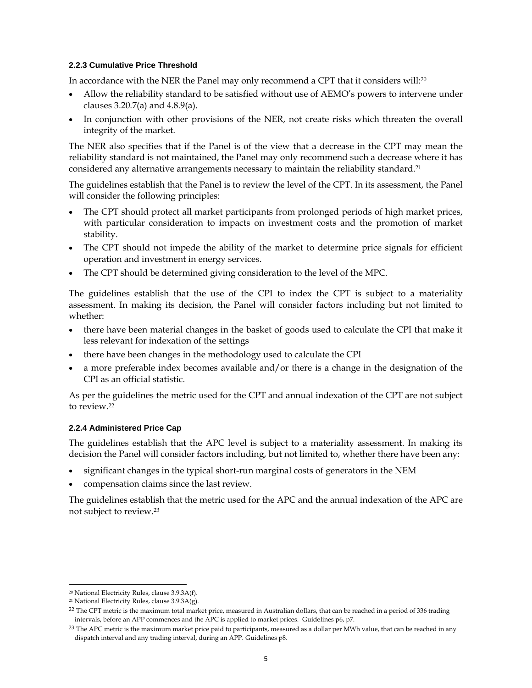#### **2.2.3 Cumulative Price Threshold**

In accordance with the NER the Panel may only recommend a CPT that it considers will: $20$ 

- Allow the reliability standard to be satisfied without use of AEMO's powers to intervene under clauses  $3.20.7(a)$  and  $4.8.9(a)$ .
- In conjunction with other provisions of the NER, not create risks which threaten the overall integrity of the market.

The NER also specifies that if the Panel is of the view that a decrease in the CPT may mean the reliability standard is not maintained, the Panel may only recommend such a decrease where it has considered any alternative arrangements necessary to maintain the reliability standard.<sup>21</sup>

The guidelines establish that the Panel is to review the level of the CPT. In its assessment, the Panel will consider the following principles:

- The CPT should protect all market participants from prolonged periods of high market prices, with particular consideration to impacts on investment costs and the promotion of market stability.
- The CPT should not impede the ability of the market to determine price signals for efficient operation and investment in energy services.
- The CPT should be determined giving consideration to the level of the MPC.

The guidelines establish that the use of the CPI to index the CPT is subject to a materiality assessment. In making its decision, the Panel will consider factors including but not limited to whether:

- there have been material changes in the basket of goods used to calculate the CPI that make it less relevant for indexation of the settings
- there have been changes in the methodology used to calculate the CPI
- a more preferable index becomes available and/or there is a change in the designation of the CPI as an official statistic.

As per the guidelines the metric used for the CPT and annual indexation of the CPT are not subject to review.22

#### **2.2.4 Administered Price Cap**

The guidelines establish that the APC level is subject to a materiality assessment. In making its decision the Panel will consider factors including, but not limited to, whether there have been any:

- significant changes in the typical short-run marginal costs of generators in the NEM
- compensation claims since the last review.

The guidelines establish that the metric used for the APC and the annual indexation of the APC are not subject to review.23

-

<sup>20</sup> National Electricity Rules, clause 3.9.3A(f).

<sup>21</sup> National Electricity Rules, clause 3.9.3A(g).

<sup>&</sup>lt;sup>22</sup> The CPT metric is the maximum total market price, measured in Australian dollars, that can be reached in a period of 336 trading intervals, before an APP commences and the APC is applied to market prices. Guidelines p6, p7.

 $23$  The APC metric is the maximum market price paid to participants, measured as a dollar per MWh value, that can be reached in any dispatch interval and any trading interval, during an APP. Guidelines p8.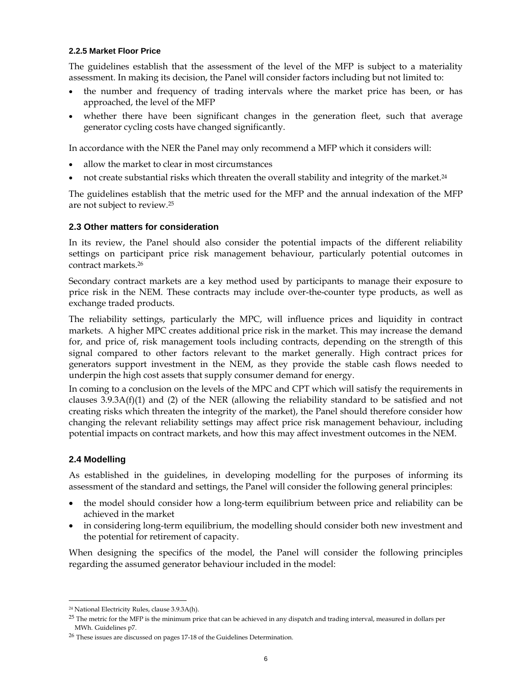#### **2.2.5 Market Floor Price**

The guidelines establish that the assessment of the level of the MFP is subject to a materiality assessment. In making its decision, the Panel will consider factors including but not limited to:

- the number and frequency of trading intervals where the market price has been, or has approached, the level of the MFP
- whether there have been significant changes in the generation fleet, such that average generator cycling costs have changed significantly.

In accordance with the NER the Panel may only recommend a MFP which it considers will:

- allow the market to clear in most circumstances
- not create substantial risks which threaten the overall stability and integrity of the market.24

The guidelines establish that the metric used for the MFP and the annual indexation of the MFP are not subject to review.25

#### **2.3 Other matters for consideration**

In its review, the Panel should also consider the potential impacts of the different reliability settings on participant price risk management behaviour, particularly potential outcomes in contract markets.26

Secondary contract markets are a key method used by participants to manage their exposure to price risk in the NEM. These contracts may include over-the-counter type products, as well as exchange traded products.

The reliability settings, particularly the MPC, will influence prices and liquidity in contract markets. A higher MPC creates additional price risk in the market. This may increase the demand for, and price of, risk management tools including contracts, depending on the strength of this signal compared to other factors relevant to the market generally. High contract prices for generators support investment in the NEM, as they provide the stable cash flows needed to underpin the high cost assets that supply consumer demand for energy.

In coming to a conclusion on the levels of the MPC and CPT which will satisfy the requirements in clauses  $3.9.3A(f)(1)$  and (2) of the NER (allowing the reliability standard to be satisfied and not creating risks which threaten the integrity of the market), the Panel should therefore consider how changing the relevant reliability settings may affect price risk management behaviour, including potential impacts on contract markets, and how this may affect investment outcomes in the NEM.

## **2.4 Modelling**

-

As established in the guidelines, in developing modelling for the purposes of informing its assessment of the standard and settings, the Panel will consider the following general principles:

- the model should consider how a long-term equilibrium between price and reliability can be achieved in the market
- in considering long-term equilibrium, the modelling should consider both new investment and the potential for retirement of capacity.

When designing the specifics of the model, the Panel will consider the following principles regarding the assumed generator behaviour included in the model:

<sup>24</sup> National Electricity Rules, clause 3.9.3A(h).

 $25$  The metric for the MFP is the minimum price that can be achieved in any dispatch and trading interval, measured in dollars per MWh. Guidelines p7.

<sup>26</sup> These issues are discussed on pages 17-18 of the Guidelines Determination.